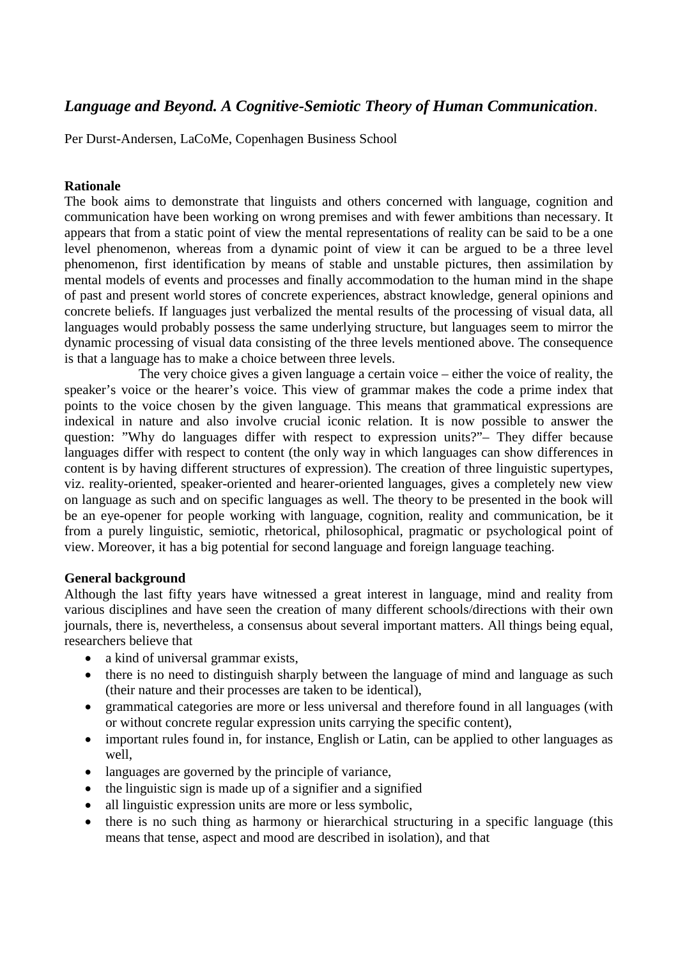# *Language and Beyond. A Cognitive-Semiotic Theory of Human Communication*.

Per Durst-Andersen, LaCoMe, Copenhagen Business School

## **Rationale**

The book aims to demonstrate that linguists and others concerned with language, cognition and communication have been working on wrong premises and with fewer ambitions than necessary. It appears that from a static point of view the mental representations of reality can be said to be a one level phenomenon, whereas from a dynamic point of view it can be argued to be a three level phenomenon, first identification by means of stable and unstable pictures, then assimilation by mental models of events and processes and finally accommodation to the human mind in the shape of past and present world stores of concrete experiences, abstract knowledge, general opinions and concrete beliefs. If languages just verbalized the mental results of the processing of visual data, all languages would probably possess the same underlying structure, but languages seem to mirror the dynamic processing of visual data consisting of the three levels mentioned above. The consequence is that a language has to make a choice between three levels.

The very choice gives a given language a certain voice – either the voice of reality, the speaker's voice or the hearer's voice. This view of grammar makes the code a prime index that points to the voice chosen by the given language. This means that grammatical expressions are indexical in nature and also involve crucial iconic relation. It is now possible to answer the question: "Why do languages differ with respect to expression units?"– They differ because languages differ with respect to content (the only way in which languages can show differences in content is by having different structures of expression). The creation of three linguistic supertypes, viz. reality-oriented, speaker-oriented and hearer-oriented languages, gives a completely new view on language as such and on specific languages as well. The theory to be presented in the book will be an eye-opener for people working with language, cognition, reality and communication, be it from a purely linguistic, semiotic, rhetorical, philosophical, pragmatic or psychological point of view. Moreover, it has a big potential for second language and foreign language teaching.

### **General background**

Although the last fifty years have witnessed a great interest in language, mind and reality from various disciplines and have seen the creation of many different schools/directions with their own journals, there is, nevertheless, a consensus about several important matters. All things being equal, researchers believe that

- a kind of universal grammar exists.
- there is no need to distinguish sharply between the language of mind and language as such (their nature and their processes are taken to be identical),
- grammatical categories are more or less universal and therefore found in all languages (with or without concrete regular expression units carrying the specific content),
- important rules found in, for instance, English or Latin, can be applied to other languages as well,
- languages are governed by the principle of variance,
- the linguistic sign is made up of a signifier and a signified
- all linguistic expression units are more or less symbolic,
- there is no such thing as harmony or hierarchical structuring in a specific language (this means that tense, aspect and mood are described in isolation), and that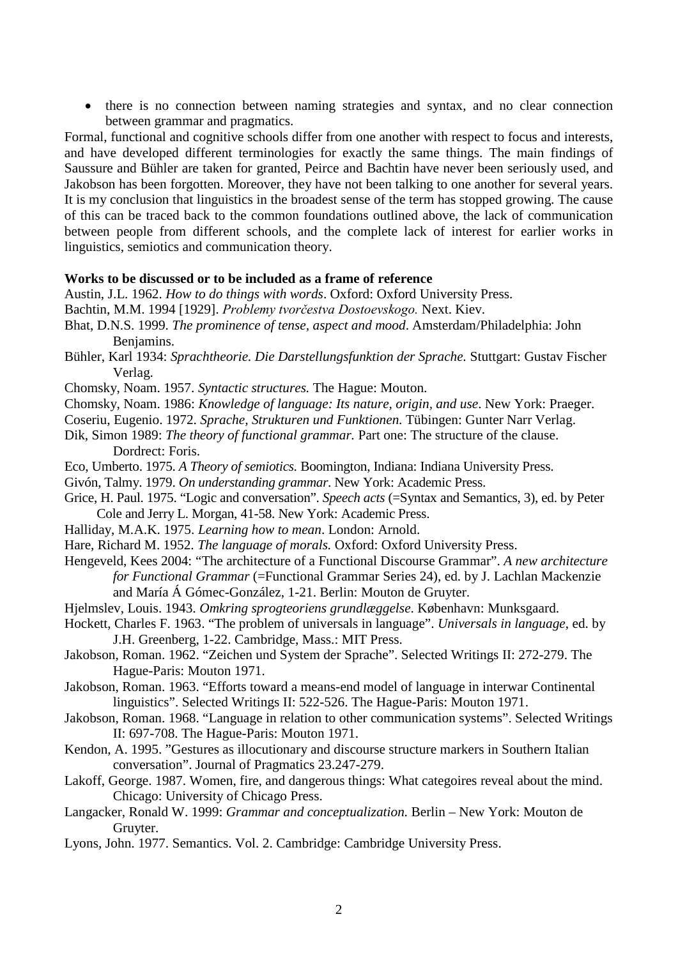• there is no connection between naming strategies and syntax, and no clear connection between grammar and pragmatics.

Formal, functional and cognitive schools differ from one another with respect to focus and interests, and have developed different terminologies for exactly the same things. The main findings of Saussure and Bühler are taken for granted, Peirce and Bachtin have never been seriously used, and Jakobson has been forgotten. Moreover, they have not been talking to one another for several years. It is my conclusion that linguistics in the broadest sense of the term has stopped growing. The cause of this can be traced back to the common foundations outlined above, the lack of communication between people from different schools, and the complete lack of interest for earlier works in linguistics, semiotics and communication theory.

## **Works to be discussed or to be included as a frame of reference**

- Austin, J.L. 1962. *How to do things with words*. Oxford: Oxford University Press.
- Bachtin, M.M. 1994 [1929]. *Problemy tvorčestva Dostoevskogo.* Next. Kiev.
- Bhat, D.N.S. 1999. *The prominence of tense, aspect and mood*. Amsterdam/Philadelphia: John Benjamins.
- Bühler, Karl 1934: *Sprachtheorie. Die Darstellungsfunktion der Sprache.* Stuttgart: Gustav Fischer Verlag.
- Chomsky, Noam. 1957. *Syntactic structures.* The Hague: Mouton.
- Chomsky, Noam. 1986: *Knowledge of language: Its nature, origin, and use*. New York: Praeger.
- Coseriu, Eugenio. 1972. *Sprache, Strukturen und Funktionen.* Tübingen: Gunter Narr Verlag.
- Dik, Simon 1989: *The theory of functional grammar.* Part one: The structure of the clause. Dordrect: Foris.
- Eco, Umberto. 1975. *A Theory of semiotics.* Boomington, Indiana: Indiana University Press.

Givón, Talmy. 1979. *On understanding grammar.* New York: Academic Press.

- Grice, H. Paul. 1975. "Logic and conversation". *Speech acts* (=Syntax and Semantics, 3), ed. by Peter Cole and Jerry L. Morgan, 41-58. New York: Academic Press.
- Halliday, M.A.K. 1975. *Learning how to mean*. London: Arnold.
- Hare, Richard M. 1952. *The language of morals.* Oxford: Oxford University Press.
- Hengeveld, Kees 2004: "The architecture of a Functional Discourse Grammar". *A new architecture for Functional Grammar* (=Functional Grammar Series 24), ed. by J. Lachlan Mackenzie and María Á Gómec-González, 1-21. Berlin: Mouton de Gruyter.
- Hjelmslev, Louis. 1943. *Omkring sprogteoriens grundlæggelse*. København: Munksgaard.
- Hockett, Charles F. 1963. "The problem of universals in language". *Universals in language*, ed. by J.H. Greenberg, 1-22. Cambridge, Mass.: MIT Press.
- Jakobson, Roman. 1962. "Zeichen und System der Sprache". Selected Writings II: 272-279. The Hague-Paris: Mouton 1971.
- Jakobson, Roman. 1963. "Efforts toward a means-end model of language in interwar Continental linguistics". Selected Writings II: 522-526. The Hague-Paris: Mouton 1971.
- Jakobson, Roman. 1968. "Language in relation to other communication systems". Selected Writings II: 697-708. The Hague-Paris: Mouton 1971.
- Kendon, A. 1995. "Gestures as illocutionary and discourse structure markers in Southern Italian conversation". Journal of Pragmatics 23.247-279.
- Lakoff, George. 1987. Women, fire, and dangerous things: What categoires reveal about the mind. Chicago: University of Chicago Press.
- Langacker, Ronald W. 1999: *Grammar and conceptualization.* Berlin New York: Mouton de Gruyter.
- Lyons, John. 1977. Semantics. Vol. 2. Cambridge: Cambridge University Press.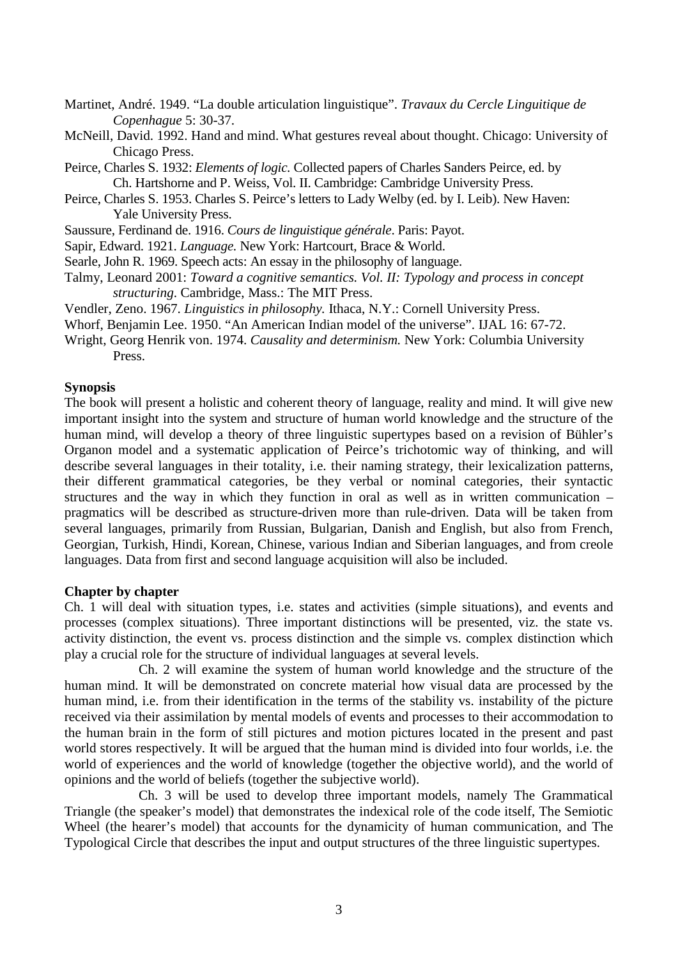- Martinet, André. 1949. "La double articulation linguistique". *Travaux du Cercle Linguitique de Copenhague* 5: 30-37.
- McNeill, David. 1992. Hand and mind. What gestures reveal about thought. Chicago: University of Chicago Press.
- Peirce, Charles S. 1932: *Elements of logic.* Collected papers of Charles Sanders Peirce, ed. by Ch. Hartshorne and P. Weiss, Vol. II. Cambridge: Cambridge University Press.
- Peirce, Charles S. 1953. Charles S. Peirce's letters to Lady Welby (ed. by I. Leib). New Haven: Yale University Press.
- Saussure, Ferdinand de. 1916. *Cours de linguistique générale*. Paris: Payot.
- Sapir, Edward. 1921. *Language.* New York: Hartcourt, Brace & World.
- Searle, John R. 1969. Speech acts: An essay in the philosophy of language.
- Talmy, Leonard 2001: *Toward a cognitive semantics. Vol. II: Typology and process in concept structuring*. Cambridge, Mass.: The MIT Press.
- Vendler, Zeno. 1967. *Linguistics in philosophy.* Ithaca, N.Y.: Cornell University Press.
- Whorf, Benjamin Lee. 1950. "An American Indian model of the universe". IJAL 16: 67-72.
- Wright, Georg Henrik von. 1974. *Causality and determinism.* New York: Columbia University Press.

#### **Synopsis**

The book will present a holistic and coherent theory of language, reality and mind. It will give new important insight into the system and structure of human world knowledge and the structure of the human mind, will develop a theory of three linguistic supertypes based on a revision of Bühler's Organon model and a systematic application of Peirce's trichotomic way of thinking, and will describe several languages in their totality, i.e. their naming strategy, their lexicalization patterns, their different grammatical categories, be they verbal or nominal categories, their syntactic structures and the way in which they function in oral as well as in written communication – pragmatics will be described as structure-driven more than rule-driven. Data will be taken from several languages, primarily from Russian, Bulgarian, Danish and English, but also from French, Georgian, Turkish, Hindi, Korean, Chinese, various Indian and Siberian languages, and from creole languages. Data from first and second language acquisition will also be included.

#### **Chapter by chapter**

Ch. 1 will deal with situation types, i.e. states and activities (simple situations), and events and processes (complex situations). Three important distinctions will be presented, viz. the state vs. activity distinction, the event vs. process distinction and the simple vs. complex distinction which play a crucial role for the structure of individual languages at several levels.

Ch. 2 will examine the system of human world knowledge and the structure of the human mind. It will be demonstrated on concrete material how visual data are processed by the human mind, i.e. from their identification in the terms of the stability vs. instability of the picture received via their assimilation by mental models of events and processes to their accommodation to the human brain in the form of still pictures and motion pictures located in the present and past world stores respectively. It will be argued that the human mind is divided into four worlds, i.e. the world of experiences and the world of knowledge (together the objective world), and the world of opinions and the world of beliefs (together the subjective world).

Ch. 3 will be used to develop three important models, namely The Grammatical Triangle (the speaker's model) that demonstrates the indexical role of the code itself, The Semiotic Wheel (the hearer's model) that accounts for the dynamicity of human communication, and The Typological Circle that describes the input and output structures of the three linguistic supertypes.